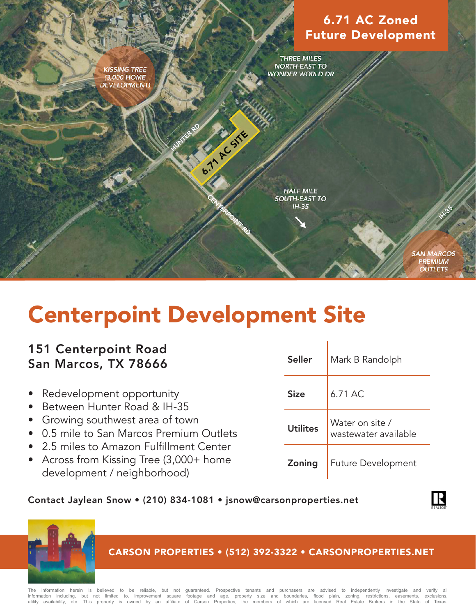# 6.71 AC Zoned Future Development

**THREE MILES NORTH-EAST TO WONDER WORLD DR** 

**KISSING TREE** (3,000 HOME **DEVELOPMENT**)

> **HALF MILE SOUTH-EAST TO**  $IH-35$

> > **SAN MARCOS PREMIUM OUTLETS**

# Centerpoint Development Site

**PARTICULES** 

## 151 Centerpoint Road San Marcos, TX 78666

- Redevelopment opportunity
- Between Hunter Road & IH-35
- Growing southwest area of town
- 0.5 mile to San Marcos Premium Outlets
- 2.5 miles to Amazon Fulfillment Center
- Across from Kissing Tree (3,000+ home development / neighborhood)

| <b>Seller</b>   | Mark B Randolph                         |  |  |  |  |
|-----------------|-----------------------------------------|--|--|--|--|
| <b>Size</b>     | 6.71 AC                                 |  |  |  |  |
| <b>Utilites</b> | Water on site /<br>wastewater available |  |  |  |  |
| Zoning          | <b>Future Development</b>               |  |  |  |  |

## Contact Jaylean Snow • (210) 834-1081 • jsnow@carsonproperties.net





## CARSON PROPERTIES • (512) 392-3322 • CARSONPROPERTIES.NET

information herein is believed to be reliable, but not guaranteed. Prospective tenants and purchasers are advised to independently investigate and verify all information including, but not limited to, improvement square footage and age, property size and boundaries, flood plain, zoning, restrictions, easements, exclusions,<br>utility availability, etc. This property is owned by an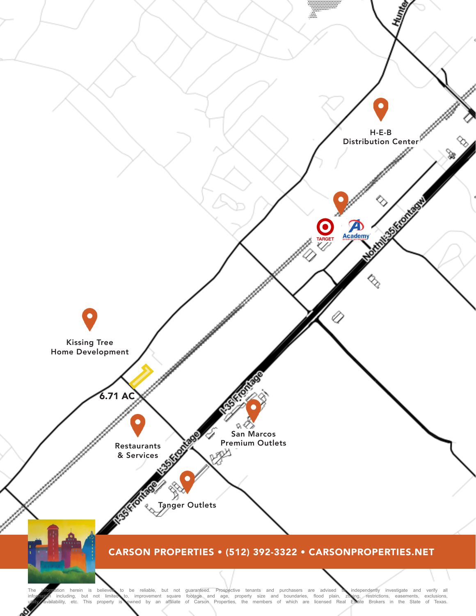